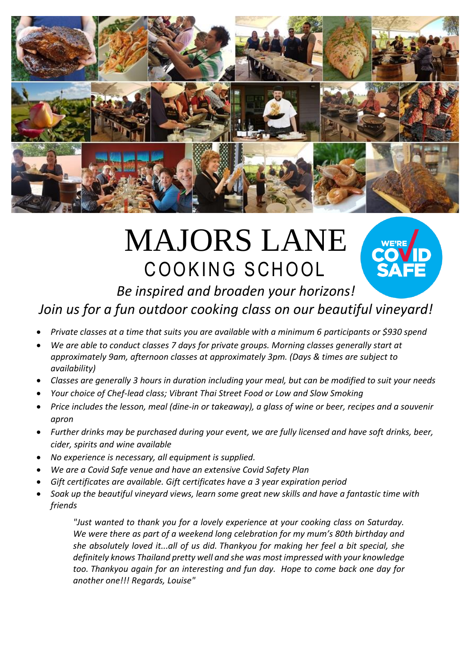

# MAJORS LANE COOKING SCHOOL



# *Be inspired and broaden your horizons!*

# *Join us for a fun outdoor cooking class on our beautiful vineyard!*

- *Private classes at a time that suits you are available with a minimum 6 participants or \$930 spend*
- *We are able to conduct classes 7 days for private groups. Morning classes generally start at approximately 9am, afternoon classes at approximately 3pm. (Days & times are subject to availability)*
- *Classes are generally 3 hours in duration including your meal, but can be modified to suit your needs*
- *Your choice of Chef-lead class; Vibrant Thai Street Food or Low and Slow Smoking*
- *Price includes the lesson, meal (dine-in or takeaway), a glass of wine or beer, recipes and a souvenir apron*
- *Further drinks may be purchased during your event, we are fully licensed and have soft drinks, beer, cider, spirits and wine available*
- *No experience is necessary, all equipment is supplied.*
- *We are a Covid Safe venue and have an extensive Covid Safety Plan*
- *Gift certificates are available. Gift certificates have a 3 year expiration period*
- *Soak up the beautiful vineyard views, learn some great new skills and have a fantastic time with friends*

*"Just wanted to thank you for a lovely experience at your cooking class on Saturday. We were there as part of a weekend long celebration for my mum's 80th birthday and she absolutely loved it...all of us did. Thankyou for making her feel a bit special, she definitely knows Thailand pretty well and she was most impressed with your knowledge too. Thankyou again for an interesting and fun day. Hope to come back one day for another one!!! Regards, Louise"*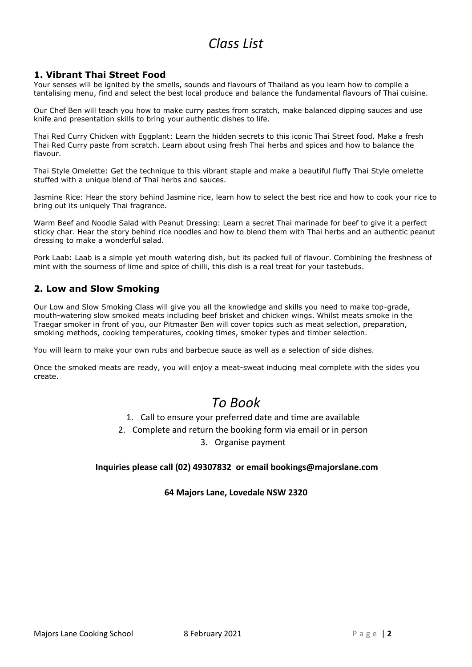## *Class List*

#### **1. Vibrant Thai Street Food**

Your senses will be ignited by the smells, sounds and flavours of Thailand as you learn how to compile a tantalising menu, find and select the best local produce and balance the fundamental flavours of Thai cuisine.

Our Chef Ben will teach you how to make curry pastes from scratch, make balanced dipping sauces and use knife and presentation skills to bring your authentic dishes to life.

Thai Red Curry Chicken with Eggplant: Learn the hidden secrets to this iconic Thai Street food. Make a fresh Thai Red Curry paste from scratch. Learn about using fresh Thai herbs and spices and how to balance the flavour.

Thai Style Omelette: Get the technique to this vibrant staple and make a beautiful fluffy Thai Style omelette stuffed with a unique blend of Thai herbs and sauces.

Jasmine Rice: Hear the story behind Jasmine rice, learn how to select the best rice and how to cook your rice to bring out its uniquely Thai fragrance.

Warm Beef and Noodle Salad with Peanut Dressing: Learn a secret Thai marinade for beef to give it a perfect sticky char. Hear the story behind rice noodles and how to blend them with Thai herbs and an authentic peanut dressing to make a wonderful salad.

Pork Laab: Laab is a simple yet mouth watering dish, but its packed full of flavour. Combining the freshness of mint with the sourness of lime and spice of chilli, this dish is a real treat for your tastebuds.

#### **2. Low and Slow Smoking**

Our Low and Slow Smoking Class will give you all the knowledge and skills you need to make top-grade, mouth-watering slow smoked meats including beef brisket and chicken wings. Whilst meats smoke in the Traegar smoker in front of you, our Pitmaster Ben will cover topics such as meat selection, preparation, smoking methods, cooking temperatures, cooking times, smoker types and timber selection.

You will learn to make your own rubs and barbecue sauce as well as a selection of side dishes.

Once the smoked meats are ready, you will enjoy a meat-sweat inducing meal complete with the sides you create.

## *To Book*

1. Call to ensure your preferred date and time are available

2. Complete and return the booking form via email or in person

3. Organise payment

#### **Inquiries please call (02) 49307832 or email bookings@majorslane.com**

#### **64 Majors Lane, Lovedale NSW 2320**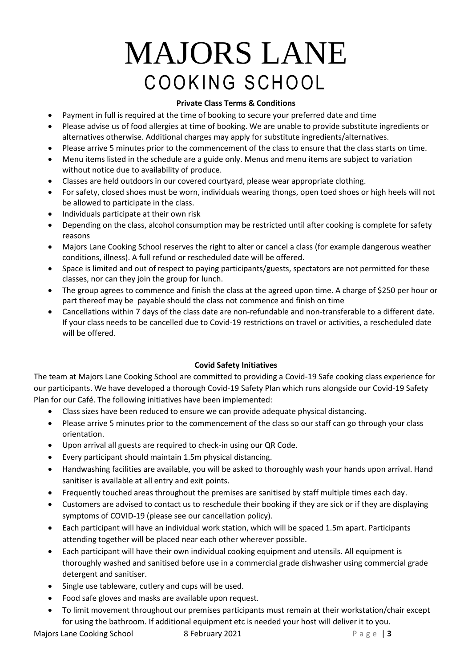# MAJORS LANE COOKING SCHOOL

#### **Private Class Terms & Conditions**

- Payment in full is required at the time of booking to secure your preferred date and time
- Please advise us of food allergies at time of booking. We are unable to provide substitute ingredients or alternatives otherwise. Additional charges may apply for substitute ingredients/alternatives.
- Please arrive 5 minutes prior to the commencement of the class to ensure that the class starts on time.
- Menu items listed in the schedule are a guide only. Menus and menu items are subject to variation without notice due to availability of produce.
- Classes are held outdoors in our covered courtyard, please wear appropriate clothing.
- For safety, closed shoes must be worn, individuals wearing thongs, open toed shoes or high heels will not be allowed to participate in the class.
- Individuals participate at their own risk
- Depending on the class, alcohol consumption may be restricted until after cooking is complete for safety reasons
- Majors Lane Cooking School reserves the right to alter or cancel a class (for example dangerous weather conditions, illness). A full refund or rescheduled date will be offered.
- Space is limited and out of respect to paying participants/guests, spectators are not permitted for these classes, nor can they join the group for lunch.
- The group agrees to commence and finish the class at the agreed upon time. A charge of \$250 per hour or part thereof may be payable should the class not commence and finish on time
- Cancellations within 7 days of the class date are non-refundable and non-transferable to a different date. If your class needs to be cancelled due to Covid-19 restrictions on travel or activities, a rescheduled date will be offered.

#### **Covid Safety Initiatives**

The team at Majors Lane Cooking School are committed to providing a Covid-19 Safe cooking class experience for our participants. We have developed a thorough Covid-19 Safety Plan which runs alongside our Covid-19 Safety Plan for our Café. The following initiatives have been implemented:

- Class sizes have been reduced to ensure we can provide adequate physical distancing.
- Please arrive 5 minutes prior to the commencement of the class so our staff can go through your class orientation.
- Upon arrival all guests are required to check-in using our QR Code.
- Every participant should maintain 1.5m physical distancing.
- Handwashing facilities are available, you will be asked to thoroughly wash your hands upon arrival. Hand sanitiser is available at all entry and exit points.
- Frequently touched areas throughout the premises are sanitised by staff multiple times each day.
- Customers are advised to contact us to reschedule their booking if they are sick or if they are displaying symptoms of COVID-19 (please see our cancellation policy).
- Each participant will have an individual work station, which will be spaced 1.5m apart. Participants attending together will be placed near each other wherever possible.
- Each participant will have their own individual cooking equipment and utensils. All equipment is thoroughly washed and sanitised before use in a commercial grade dishwasher using commercial grade detergent and sanitiser.
- Single use tableware, cutlery and cups will be used.
- Food safe gloves and masks are available upon request.
- To limit movement throughout our premises participants must remain at their workstation/chair except for using the bathroom. If additional equipment etc is needed your host will deliver it to you.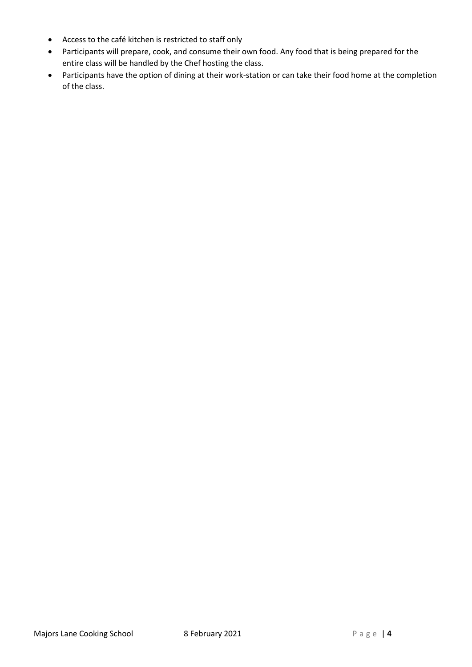- Access to the café kitchen is restricted to staff only
- Participants will prepare, cook, and consume their own food. Any food that is being prepared for the entire class will be handled by the Chef hosting the class.
- Participants have the option of dining at their work-station or can take their food home at the completion of the class.